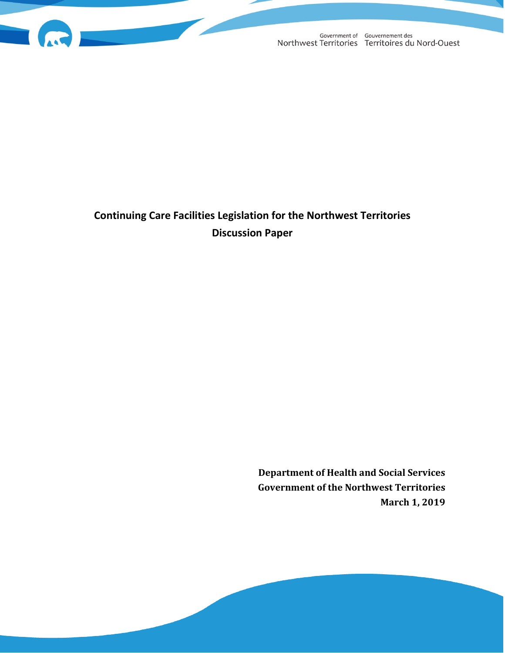

# **Continuing Care Facilities Legislation for the Northwest Territories Discussion Paper**

**Department of Health and Social Services Government of the Northwest Territories March 1, 2019**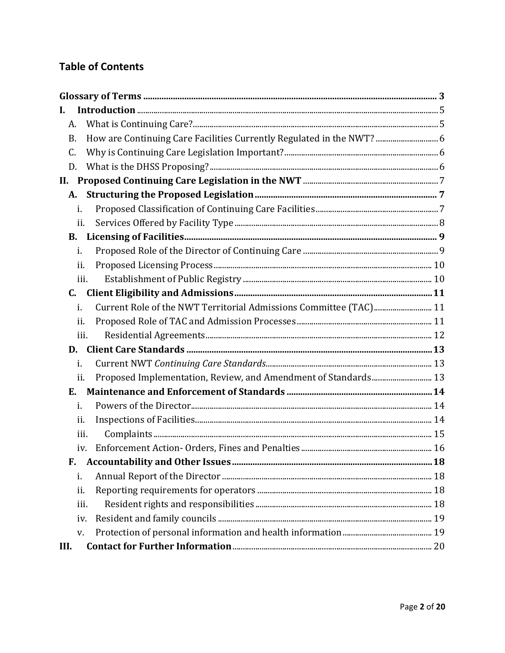# **Table of Contents**

<span id="page-1-0"></span>

| I.        |                                                                       |  |
|-----------|-----------------------------------------------------------------------|--|
| A.        |                                                                       |  |
| <b>B.</b> | How are Continuing Care Facilities Currently Regulated in the NWT?  6 |  |
| C.        |                                                                       |  |
| D.        |                                                                       |  |
| II.       |                                                                       |  |
| A.        |                                                                       |  |
| i.        |                                                                       |  |
| ii.       |                                                                       |  |
| <b>B.</b> |                                                                       |  |
| i.        |                                                                       |  |
| ii.       |                                                                       |  |
| iii.      |                                                                       |  |
| C.        |                                                                       |  |
| i.        | Current Role of the NWT Territorial Admissions Committee (TAC) 11     |  |
| ii.       |                                                                       |  |
| iii.      |                                                                       |  |
| D.        |                                                                       |  |
| i.        |                                                                       |  |
| ii.       | Proposed Implementation, Review, and Amendment of Standards 13        |  |
| Е.        |                                                                       |  |
| i.        |                                                                       |  |
| ii.       |                                                                       |  |
| iii.      |                                                                       |  |
| iv.       |                                                                       |  |
| F.        |                                                                       |  |
| i.        |                                                                       |  |
| ii.       |                                                                       |  |
| iii.      |                                                                       |  |
| iv.       |                                                                       |  |
| V.        |                                                                       |  |
| III.      |                                                                       |  |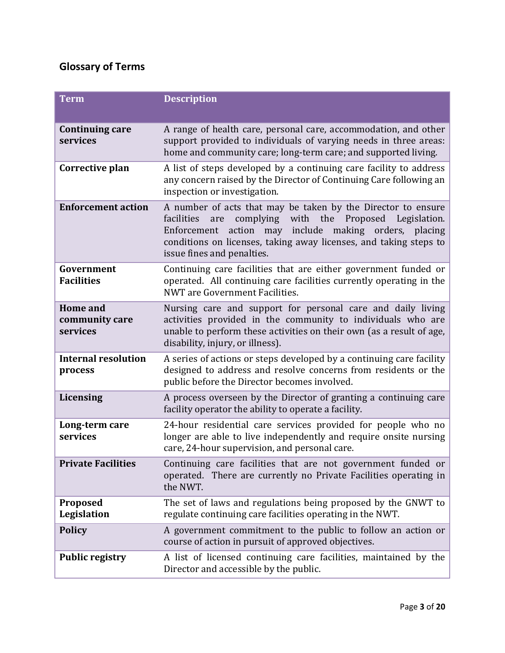# **Glossary of Terms**

| <b>Term</b>                                   | <b>Description</b>                                                                                                                                                                                                                                                                           |
|-----------------------------------------------|----------------------------------------------------------------------------------------------------------------------------------------------------------------------------------------------------------------------------------------------------------------------------------------------|
| <b>Continuing care</b><br>services            | A range of health care, personal care, accommodation, and other<br>support provided to individuals of varying needs in three areas:<br>home and community care; long-term care; and supported living.                                                                                        |
| Corrective plan                               | A list of steps developed by a continuing care facility to address<br>any concern raised by the Director of Continuing Care following an<br>inspection or investigation.                                                                                                                     |
| <b>Enforcement action</b>                     | A number of acts that may be taken by the Director to ensure<br>complying with the Proposed Legislation.<br>facilities<br>are<br>action may include making orders, placing<br>Enforcement<br>conditions on licenses, taking away licenses, and taking steps to<br>issue fines and penalties. |
| Government<br><b>Facilities</b>               | Continuing care facilities that are either government funded or<br>operated. All continuing care facilities currently operating in the<br>NWT are Government Facilities.                                                                                                                     |
| <b>Home</b> and<br>community care<br>services | Nursing care and support for personal care and daily living<br>activities provided in the community to individuals who are<br>unable to perform these activities on their own (as a result of age,<br>disability, injury, or illness).                                                       |
| <b>Internal resolution</b><br>process         | A series of actions or steps developed by a continuing care facility<br>designed to address and resolve concerns from residents or the<br>public before the Director becomes involved.                                                                                                       |
| <b>Licensing</b>                              | A process overseen by the Director of granting a continuing care<br>facility operator the ability to operate a facility.                                                                                                                                                                     |
| Long-term care<br>services                    | 24-hour residential care services provided for people who no<br>longer are able to live independently and require onsite nursing<br>care, 24-hour supervision, and personal care.                                                                                                            |
| <b>Private Facilities</b>                     | Continuing care facilities that are not government funded or<br>operated. There are currently no Private Facilities operating in<br>the NWT.                                                                                                                                                 |
| Proposed<br>Legislation                       | The set of laws and regulations being proposed by the GNWT to<br>regulate continuing care facilities operating in the NWT.                                                                                                                                                                   |
| <b>Policy</b>                                 | A government commitment to the public to follow an action or<br>course of action in pursuit of approved objectives.                                                                                                                                                                          |
| <b>Public registry</b>                        | A list of licensed continuing care facilities, maintained by the<br>Director and accessible by the public.                                                                                                                                                                                   |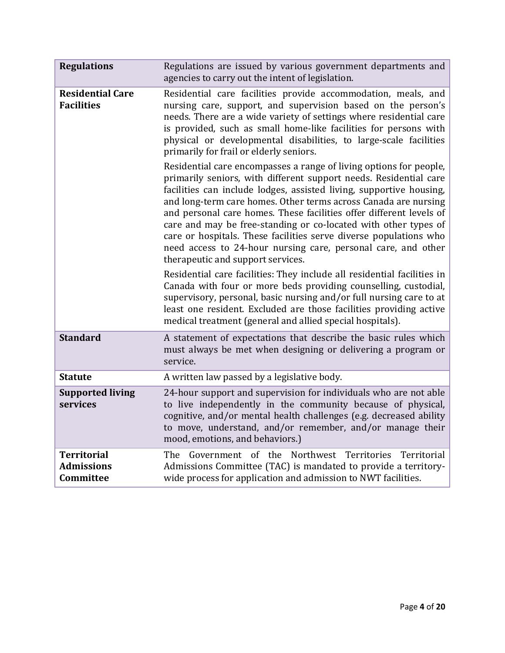| <b>Regulations</b>                                   | Regulations are issued by various government departments and<br>agencies to carry out the intent of legislation.                                                                                                                                                                                                                                                                                                                                                                                                                                                                                       |
|------------------------------------------------------|--------------------------------------------------------------------------------------------------------------------------------------------------------------------------------------------------------------------------------------------------------------------------------------------------------------------------------------------------------------------------------------------------------------------------------------------------------------------------------------------------------------------------------------------------------------------------------------------------------|
| <b>Residential Care</b><br><b>Facilities</b>         | Residential care facilities provide accommodation, meals, and<br>nursing care, support, and supervision based on the person's<br>needs. There are a wide variety of settings where residential care<br>is provided, such as small home-like facilities for persons with<br>physical or developmental disabilities, to large-scale facilities<br>primarily for frail or elderly seniors.                                                                                                                                                                                                                |
|                                                      | Residential care encompasses a range of living options for people,<br>primarily seniors, with different support needs. Residential care<br>facilities can include lodges, assisted living, supportive housing,<br>and long-term care homes. Other terms across Canada are nursing<br>and personal care homes. These facilities offer different levels of<br>care and may be free-standing or co-located with other types of<br>care or hospitals. These facilities serve diverse populations who<br>need access to 24-hour nursing care, personal care, and other<br>therapeutic and support services. |
|                                                      | Residential care facilities: They include all residential facilities in<br>Canada with four or more beds providing counselling, custodial,<br>supervisory, personal, basic nursing and/or full nursing care to at<br>least one resident. Excluded are those facilities providing active<br>medical treatment (general and allied special hospitals).                                                                                                                                                                                                                                                   |
| <b>Standard</b>                                      | A statement of expectations that describe the basic rules which<br>must always be met when designing or delivering a program or<br>service.                                                                                                                                                                                                                                                                                                                                                                                                                                                            |
| <b>Statute</b>                                       | A written law passed by a legislative body.                                                                                                                                                                                                                                                                                                                                                                                                                                                                                                                                                            |
| <b>Supported living</b><br>services                  | 24-hour support and supervision for individuals who are not able<br>to live independently in the community because of physical,<br>cognitive, and/or mental health challenges (e.g. decreased ability<br>to move, understand, and/or remember, and/or manage their<br>mood, emotions, and behaviors.)                                                                                                                                                                                                                                                                                                  |
| <b>Territorial</b><br><b>Admissions</b><br>Committee | Government of the Northwest Territories<br>Territorial<br>The<br>Admissions Committee (TAC) is mandated to provide a territory-<br>wide process for application and admission to NWT facilities.                                                                                                                                                                                                                                                                                                                                                                                                       |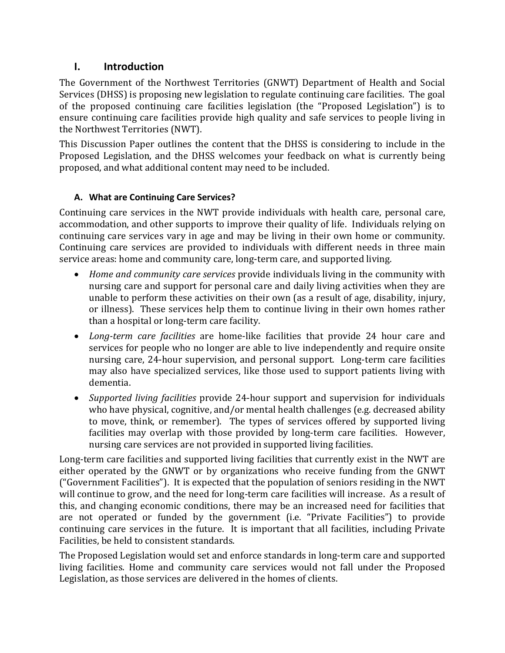# <span id="page-4-0"></span>**I. Introduction**

The Government of the Northwest Territories (GNWT) Department of Health and Social Services (DHSS) is proposing new legislation to regulate continuing care facilities. The goal of the proposed continuing care facilities legislation (the "Proposed Legislation") is to ensure continuing care facilities provide high quality and safe services to people living in the Northwest Territories (NWT).

This Discussion Paper outlines the content that the DHSS is considering to include in the Proposed Legislation, and the DHSS welcomes your feedback on what is currently being proposed, and what additional content may need to be included.

# **A. What are Continuing Care Services?**

<span id="page-4-1"></span>Continuing care services in the NWT provide individuals with health care, personal care, accommodation, and other supports to improve their quality of life. Individuals relying on continuing care services vary in age and may be living in their own home or community. Continuing care services are provided to individuals with different needs in three main service areas: home and community care, long-term care, and supported living.

- *Home and community care services* provide individuals living in the community with nursing care and support for personal care and daily living activities when they are unable to perform these activities on their own (as a result of age, disability, injury, or illness). These services help them to continue living in their own homes rather than a hospital or long-term care facility.
- *Long-term care facilities* are home-like facilities that provide 24 hour care and services for people who no longer are able to live independently and require onsite nursing care, 24-hour supervision, and personal support. Long-term care facilities may also have specialized services, like those used to support patients living with dementia.
- *Supported living facilities* provide 24-hour support and supervision for individuals who have physical, cognitive, and/or mental health challenges (e.g. decreased ability to move, think, or remember). The types of services offered by supported living facilities may overlap with those provided by long-term care facilities. However, nursing care services are not provided in supported living facilities.

Long-term care facilities and supported living facilities that currently exist in the NWT are either operated by the GNWT or by organizations who receive funding from the GNWT ("Government Facilities"). It is expected that the population of seniors residing in the NWT will continue to grow, and the need for long-term care facilities will increase. As a result of this, and changing economic conditions, there may be an increased need for facilities that are not operated or funded by the government (i.e. "Private Facilities") to provide continuing care services in the future. It is important that all facilities, including Private Facilities, be held to consistent standards.

The Proposed Legislation would set and enforce standards in long-term care and supported living facilities. Home and community care services would not fall under the Proposed Legislation, as those services are delivered in the homes of clients.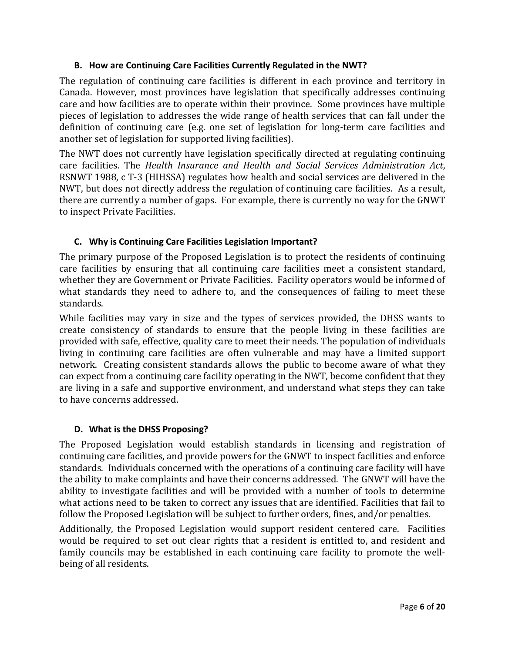#### <span id="page-5-0"></span>**B. How are Continuing Care Facilities Currently Regulated in the NWT?**

The regulation of continuing care facilities is different in each province and territory in Canada. However, most provinces have legislation that specifically addresses continuing care and how facilities are to operate within their province. Some provinces have multiple pieces of legislation to addresses the wide range of health services that can fall under the definition of continuing care (e.g. one set of legislation for long-term care facilities and another set of legislation for supported living facilities).

The NWT does not currently have legislation specifically directed at regulating continuing care facilities. The *Health Insurance and Health and Social Services Administration Act*, RSNWT 1988, c T-3 (HIHSSA) regulates how health and social services are delivered in the NWT, but does not directly address the regulation of continuing care facilities. As a result, there are currently a number of gaps. For example, there is currently no way for the GNWT to inspect Private Facilities.

#### **C. Why is Continuing Care Facilities Legislation Important?**

<span id="page-5-1"></span>The primary purpose of the Proposed Legislation is to protect the residents of continuing care facilities by ensuring that all continuing care facilities meet a consistent standard, whether they are Government or Private Facilities. Facility operators would be informed of what standards they need to adhere to, and the consequences of failing to meet these standards.

While facilities may vary in size and the types of services provided, the DHSS wants to create consistency of standards to ensure that the people living in these facilities are provided with safe, effective, quality care to meet their needs. The population of individuals living in continuing care facilities are often vulnerable and may have a limited support network. Creating consistent standards allows the public to become aware of what they can expect from a continuing care facility operating in the NWT, become confident that they are living in a safe and supportive environment, and understand what steps they can take to have concerns addressed.

#### **D. What is the DHSS Proposing?**

<span id="page-5-2"></span>The Proposed Legislation would establish standards in licensing and registration of continuing care facilities, and provide powers for the GNWT to inspect facilities and enforce standards. Individuals concerned with the operations of a continuing care facility will have the ability to make complaints and have their concerns addressed. The GNWT will have the ability to investigate facilities and will be provided with a number of tools to determine what actions need to be taken to correct any issues that are identified. Facilities that fail to follow the Proposed Legislation will be subject to further orders, fines, and/or penalties.

Additionally, the Proposed Legislation would support resident centered care. Facilities would be required to set out clear rights that a resident is entitled to, and resident and family councils may be established in each continuing care facility to promote the wellbeing of all residents.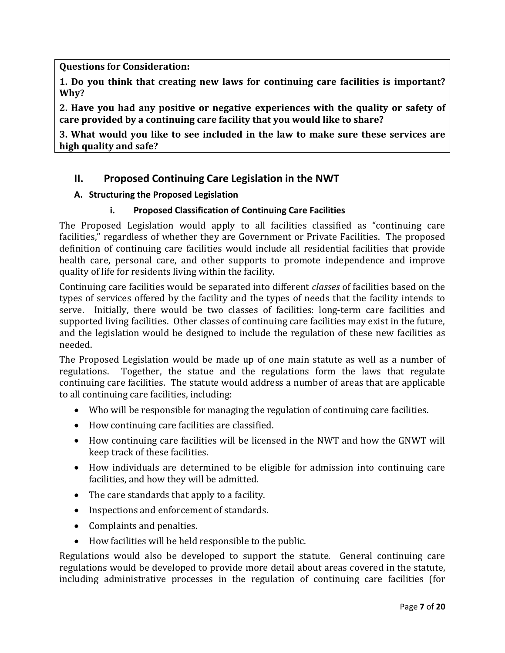**Questions for Consideration:**

**1. Do you think that creating new laws for continuing care facilities is important? Why?**

**2. Have you had any positive or negative experiences with the quality or safety of care provided by a continuing care facility that you would like to share?**

**3. What would you like to see included in the law to make sure these services are high quality and safe?**

# <span id="page-6-0"></span>**II. Proposed Continuing Care Legislation in the NWT**

# <span id="page-6-1"></span>**A. Structuring the Proposed Legislation**

# **i. Proposed Classification of Continuing Care Facilities**

<span id="page-6-2"></span>The Proposed Legislation would apply to all facilities classified as "continuing care facilities," regardless of whether they are Government or Private Facilities. The proposed definition of continuing care facilities would include all residential facilities that provide health care, personal care, and other supports to promote independence and improve quality of life for residents living within the facility.

Continuing care facilities would be separated into different *classes* of facilities based on the types of services offered by the facility and the types of needs that the facility intends to serve. Initially, there would be two classes of facilities: long-term care facilities and supported living facilities. Other classes of continuing care facilities may exist in the future, and the legislation would be designed to include the regulation of these new facilities as needed.

The Proposed Legislation would be made up of one main statute as well as a number of regulations. Together, the statue and the regulations form the laws that regulate Together, the statue and the regulations form the laws that regulate continuing care facilities. The statute would address a number of areas that are applicable to all continuing care facilities, including:

- Who will be responsible for managing the regulation of continuing care facilities.
- How continuing care facilities are classified.
- How continuing care facilities will be licensed in the NWT and how the GNWT will keep track of these facilities.
- How individuals are determined to be eligible for admission into continuing care facilities, and how they will be admitted.
- The care standards that apply to a facility.
- Inspections and enforcement of standards.
- Complaints and penalties.
- How facilities will be held responsible to the public.

Regulations would also be developed to support the statute. General continuing care regulations would be developed to provide more detail about areas covered in the statute, including administrative processes in the regulation of continuing care facilities (for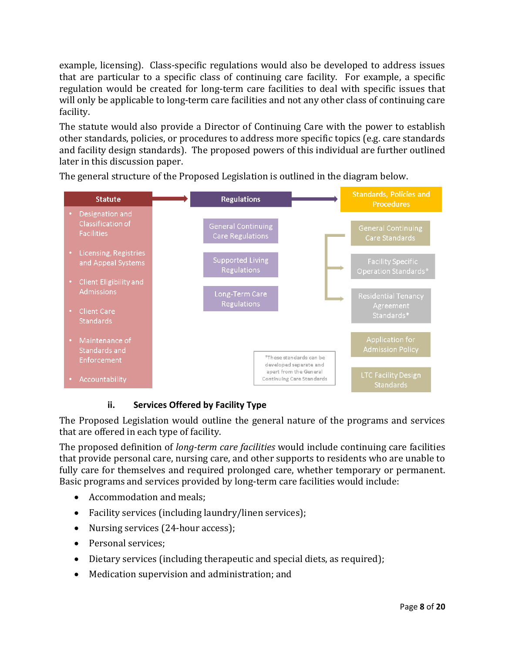example, licensing). Class-specific regulations would also be developed to address issues that are particular to a specific class of continuing care facility. For example, a specific regulation would be created for long-term care facilities to deal with specific issues that will only be applicable to long-term care facilities and not any other class of continuing care facility.

The statute would also provide a Director of Continuing Care with the power to establish other standards, policies, or procedures to address more specific topics (e.g. care standards and facility design standards). The proposed powers of this individual are further outlined later in this discussion paper.



<span id="page-7-0"></span>The general structure of the Proposed Legislation is outlined in the diagram below.

# **ii. Services Offered by Facility Type**

The Proposed Legislation would outline the general nature of the programs and services that are offered in each type of facility.

The proposed definition of *long-term care facilities* would include continuing care facilities that provide personal care, nursing care, and other supports to residents who are unable to fully care for themselves and required prolonged care, whether temporary or permanent. Basic programs and services provided by long-term care facilities would include:

- Accommodation and meals;
- Facility services (including laundry/linen services);
- Nursing services (24-hour access);
- Personal services;
- Dietary services (including therapeutic and special diets, as required);
- Medication supervision and administration; and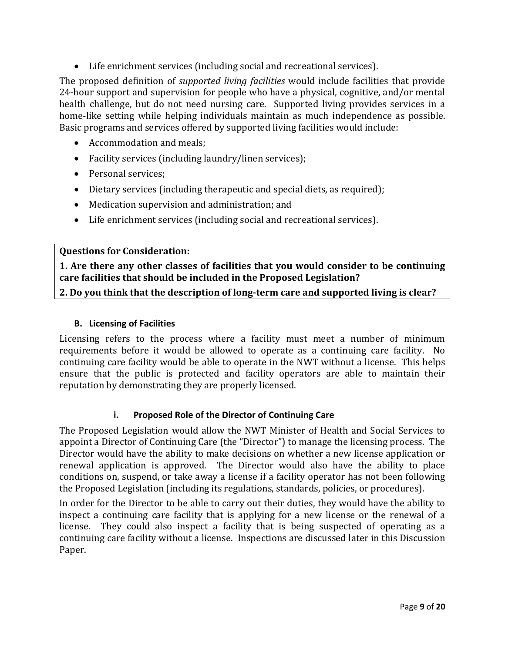• Life enrichment services (including social and recreational services).

The proposed definition of *supported living facilities* would include facilities that provide 24-hour support and supervision for people who have a physical, cognitive, and/or mental health challenge, but do not need nursing care. Supported living provides services in a home-like setting while helping individuals maintain as much independence as possible. Basic programs and services offered by supported living facilities would include:

- Accommodation and meals;
- Facility services (including laundry/linen services);
- Personal services:
- Dietary services (including therapeutic and special diets, as required);
- Medication supervision and administration; and
- Life enrichment services (including social and recreational services).

#### **Questions for Consideration:**

**1. Are there any other classes of facilities that you would consider to be continuing care facilities that should be included in the Proposed Legislation?**

**2. Do you think that the description of long-term care and supported living is clear?**

#### **B. Licensing of Facilities**

<span id="page-8-0"></span>Licensing refers to the process where a facility must meet a number of minimum requirements before it would be allowed to operate as a continuing care facility. No continuing care facility would be able to operate in the NWT without a license. This helps ensure that the public is protected and facility operators are able to maintain their reputation by demonstrating they are properly licensed.

#### **i. Proposed Role of the Director of Continuing Care**

<span id="page-8-1"></span>The Proposed Legislation would allow the NWT Minister of Health and Social Services to appoint a Director of Continuing Care (the "Director") to manage the licensing process. The Director would have the ability to make decisions on whether a new license application or renewal application is approved. The Director would also have the ability to place conditions on, suspend, or take away a license if a facility operator has not been following the Proposed Legislation (including its regulations, standards, policies, or procedures).

<span id="page-8-2"></span>In order for the Director to be able to carry out their duties, they would have the ability to inspect a continuing care facility that is applying for a new license or the renewal of a license. They could also inspect a facility that is being suspected of operating as a continuing care facility without a license. Inspections are discussed later in this Discussion Paper.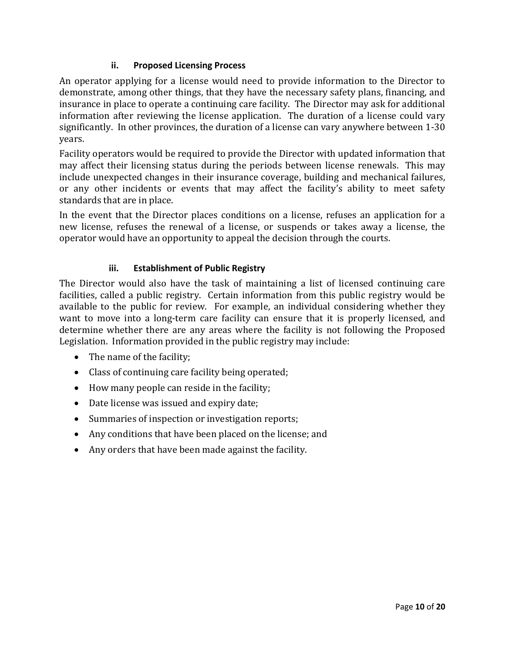### **ii. Proposed Licensing Process**

An operator applying for a license would need to provide information to the Director to demonstrate, among other things, that they have the necessary safety plans, financing, and insurance in place to operate a continuing care facility. The Director may ask for additional information after reviewing the license application. The duration of a license could vary significantly. In other provinces, the duration of a license can vary anywhere between 1-30 years.

Facility operators would be required to provide the Director with updated information that may affect their licensing status during the periods between license renewals. This may include unexpected changes in their insurance coverage, building and mechanical failures, or any other incidents or events that may affect the facility's ability to meet safety standards that are in place.

In the event that the Director places conditions on a license, refuses an application for a new license, refuses the renewal of a license, or suspends or takes away a license, the operator would have an opportunity to appeal the decision through the courts.

# **iii. Establishment of Public Registry**

<span id="page-9-0"></span>The Director would also have the task of maintaining a list of licensed continuing care facilities, called a public registry. Certain information from this public registry would be available to the public for review. For example, an individual considering whether they want to move into a long-term care facility can ensure that it is properly licensed, and determine whether there are any areas where the facility is not following the Proposed Legislation. Information provided in the public registry may include:

- The name of the facility;
- Class of continuing care facility being operated;
- How many people can reside in the facility;
- Date license was issued and expiry date;
- Summaries of inspection or investigation reports;
- Any conditions that have been placed on the license; and
- Any orders that have been made against the facility.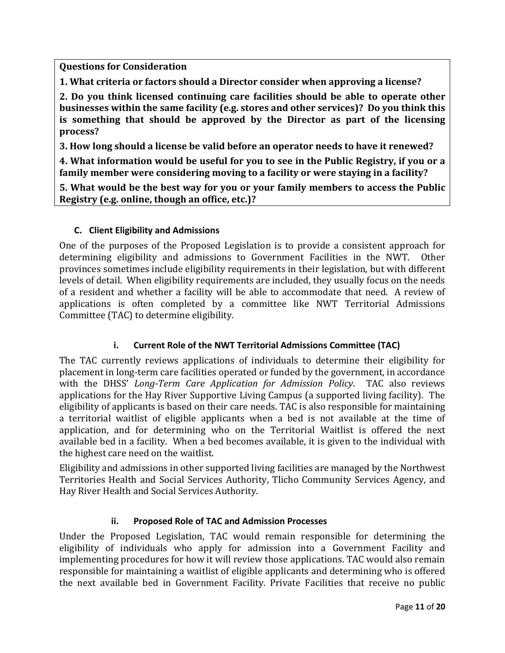**Questions for Consideration**

**1. What criteria or factors should a Director consider when approving a license?**

**2. Do you think licensed continuing care facilities should be able to operate other businesses within the same facility (e.g. stores and other services)? Do you think this is something that should be approved by the Director as part of the licensing process?**

**3. How long should a license be valid before an operator needs to have it renewed?**

**4. What information would be useful for you to see in the Public Registry, if you or a family member were considering moving to a facility or were staying in a facility?**

**5. What would be the best way for you or your family members to access the Public Registry (e.g. online, though an office, etc.)?**

#### <span id="page-10-0"></span>**C. Client Eligibility and Admissions**

One of the purposes of the Proposed Legislation is to provide a consistent approach for determining eligibility and admissions to Government Facilities in the NWT. Other provinces sometimes include eligibility requirements in their legislation, but with different levels of detail. When eligibility requirements are included, they usually focus on the needs of a resident and whether a facility will be able to accommodate that need. A review of applications is often completed by a committee like NWT Territorial Admissions Committee (TAC) to determine eligibility.

#### **i. Current Role of the NWT Territorial Admissions Committee (TAC)**

<span id="page-10-1"></span>The TAC currently reviews applications of individuals to determine their eligibility for placement in long-term care facilities operated or funded by the government, in accordance with the DHSS' *Long-Term Care Application for Admission Policy*. TAC also reviews applications for the Hay River Supportive Living Campus (a supported living facility). The eligibility of applicants is based on their care needs. TAC is also responsible for maintaining a territorial waitlist of eligible applicants when a bed is not available at the time of application, and for determining who on the Territorial Waitlist is offered the next available bed in a facility. When a bed becomes available, it is given to the individual with the highest care need on the waitlist.

Eligibility and admissions in other supported living facilities are managed by the Northwest Territories Health and Social Services Authority, Tlicho Community Services Agency, and Hay River Health and Social Services Authority.

#### **ii. Proposed Role of TAC and Admission Processes**

<span id="page-10-2"></span>Under the Proposed Legislation, TAC would remain responsible for determining the eligibility of individuals who apply for admission into a Government Facility and implementing procedures for how it will review those applications. TAC would also remain responsible for maintaining a waitlist of eligible applicants and determining who is offered the next available bed in Government Facility. Private Facilities that receive no public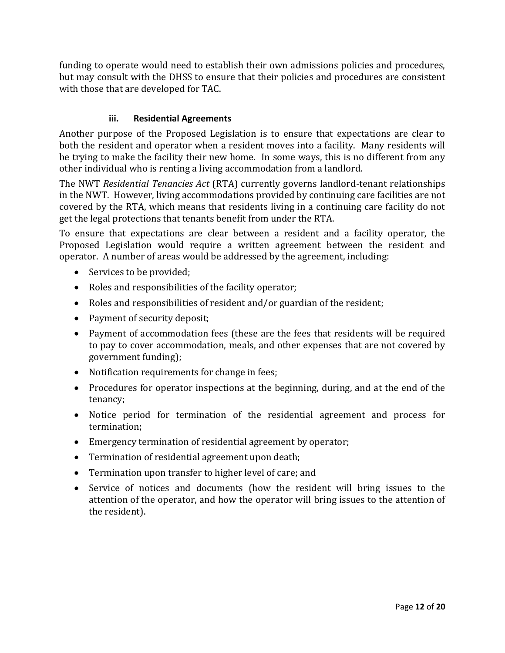funding to operate would need to establish their own admissions policies and procedures, but may consult with the DHSS to ensure that their policies and procedures are consistent with those that are developed for TAC.

### **iii. Residential Agreements**

<span id="page-11-0"></span>Another purpose of the Proposed Legislation is to ensure that expectations are clear to both the resident and operator when a resident moves into a facility. Many residents will be trying to make the facility their new home. In some ways, this is no different from any other individual who is renting a living accommodation from a landlord.

The NWT *Residential Tenancies Act* (RTA) currently governs landlord-tenant relationships in the NWT. However, living accommodations provided by continuing care facilities are not covered by the RTA, which means that residents living in a continuing care facility do not get the legal protections that tenants benefit from under the RTA.

To ensure that expectations are clear between a resident and a facility operator, the Proposed Legislation would require a written agreement between the resident and operator. A number of areas would be addressed by the agreement, including:

- Services to be provided;
- Roles and responsibilities of the facility operator;
- Roles and responsibilities of resident and/or guardian of the resident;
- Payment of security deposit;
- Payment of accommodation fees (these are the fees that residents will be required to pay to cover accommodation, meals, and other expenses that are not covered by government funding);
- Notification requirements for change in fees;
- Procedures for operator inspections at the beginning, during, and at the end of the tenancy;
- Notice period for termination of the residential agreement and process for termination;
- Emergency termination of residential agreement by operator;
- Termination of residential agreement upon death;
- Termination upon transfer to higher level of care; and
- Service of notices and documents (how the resident will bring issues to the attention of the operator, and how the operator will bring issues to the attention of the resident).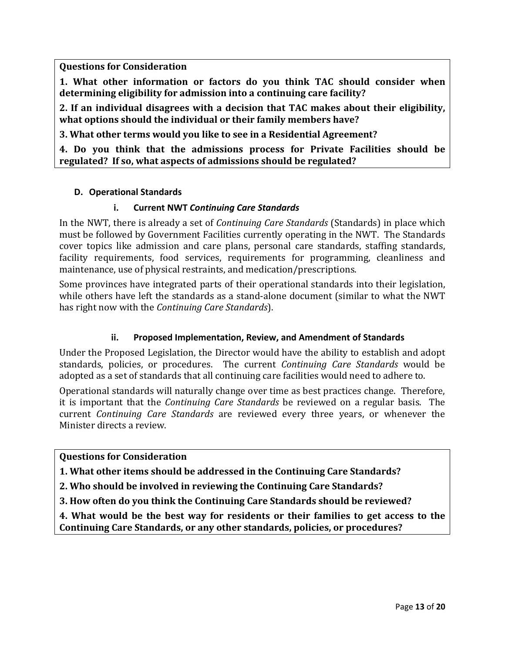**Questions for Consideration**

**1. What other information or factors do you think TAC should consider when determining eligibility for admission into a continuing care facility?**

**2. If an individual disagrees with a decision that TAC makes about their eligibility, what options should the individual or their family members have?**

**3. What other terms would you like to see in a Residential Agreement?**

**4. Do you think that the admissions process for Private Facilities should be regulated? If so, what aspects of admissions should be regulated?**

#### <span id="page-12-0"></span>**D. Operational Standards**

#### **i. Current NWT** *Continuing Care Standards*

<span id="page-12-1"></span>In the NWT, there is already a set of *Continuing Care Standards* (Standards) in place which must be followed by Government Facilities currently operating in the NWT. The Standards cover topics like admission and care plans, personal care standards, staffing standards, facility requirements, food services, requirements for programming, cleanliness and maintenance, use of physical restraints, and medication/prescriptions.

Some provinces have integrated parts of their operational standards into their legislation, while others have left the standards as a stand-alone document (similar to what the NWT has right now with the *Continuing Care Standards*).

#### **ii. Proposed Implementation, Review, and Amendment of Standards**

<span id="page-12-2"></span>Under the Proposed Legislation, the Director would have the ability to establish and adopt standards, policies, or procedures. The current *Continuing Care Standards* would be adopted as a set of standards that all continuing care facilities would need to adhere to.

Operational standards will naturally change over time as best practices change. Therefore, it is important that the *Continuing Care Standards* be reviewed on a regular basis. The current *Continuing Care Standards* are reviewed every three years, or whenever the Minister directs a review.

#### **Questions for Consideration**

**1. What other items should be addressed in the Continuing Care Standards?**

- **2. Who should be involved in reviewing the Continuing Care Standards?**
- **3. How often do you think the Continuing Care Standards should be reviewed?**

<span id="page-12-3"></span>**4. What would be the best way for residents or their families to get access to the Continuing Care Standards, or any other standards, policies, or procedures?**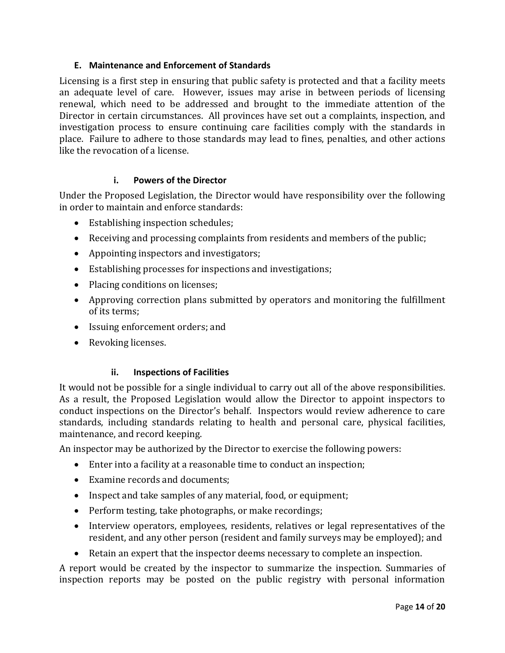#### **E. Maintenance and Enforcement of Standards**

Licensing is a first step in ensuring that public safety is protected and that a facility meets an adequate level of care. However, issues may arise in between periods of licensing renewal, which need to be addressed and brought to the immediate attention of the Director in certain circumstances. All provinces have set out a complaints, inspection, and investigation process to ensure continuing care facilities comply with the standards in place. Failure to adhere to those standards may lead to fines, penalties, and other actions like the revocation of a license.

#### **i. Powers of the Director**

<span id="page-13-0"></span>Under the Proposed Legislation, the Director would have responsibility over the following in order to maintain and enforce standards:

- Establishing inspection schedules;
- Receiving and processing complaints from residents and members of the public;
- Appointing inspectors and investigators;
- Establishing processes for inspections and investigations;
- Placing conditions on licenses;
- Approving correction plans submitted by operators and monitoring the fulfillment of its terms;
- Issuing enforcement orders; and
- Revoking licenses.

#### **ii. Inspections of Facilities**

<span id="page-13-1"></span>It would not be possible for a single individual to carry out all of the above responsibilities. As a result, the Proposed Legislation would allow the Director to appoint inspectors to conduct inspections on the Director's behalf. Inspectors would review adherence to care standards, including standards relating to health and personal care, physical facilities, maintenance, and record keeping.

An inspector may be authorized by the Director to exercise the following powers:

- Enter into a facility at a reasonable time to conduct an inspection;
- Examine records and documents;
- Inspect and take samples of any material, food, or equipment;
- Perform testing, take photographs, or make recordings;
- Interview operators, employees, residents, relatives or legal representatives of the resident, and any other person (resident and family surveys may be employed); and
- Retain an expert that the inspector deems necessary to complete an inspection.

A report would be created by the inspector to summarize the inspection. Summaries of inspection reports may be posted on the public registry with personal information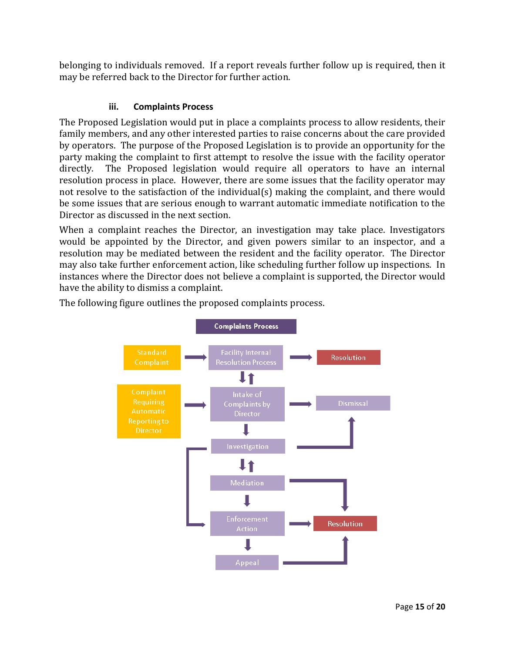belonging to individuals removed. If a report reveals further follow up is required, then it may be referred back to the Director for further action.

# **iii. Complaints Process**

<span id="page-14-0"></span>The Proposed Legislation would put in place a complaints process to allow residents, their family members, and any other interested parties to raise concerns about the care provided by operators. The purpose of the Proposed Legislation is to provide an opportunity for the party making the complaint to first attempt to resolve the issue with the facility operator directly. The Proposed legislation would require all operators to have an internal resolution process in place. However, there are some issues that the facility operator may not resolve to the satisfaction of the individual(s) making the complaint, and there would be some issues that are serious enough to warrant automatic immediate notification to the Director as discussed in the next section.

When a complaint reaches the Director, an investigation may take place. Investigators would be appointed by the Director, and given powers similar to an inspector, and a resolution may be mediated between the resident and the facility operator. The Director may also take further enforcement action, like scheduling further follow up inspections. In instances where the Director does not believe a complaint is supported, the Director would have the ability to dismiss a complaint.

<span id="page-14-1"></span>

The following figure outlines the proposed complaints process.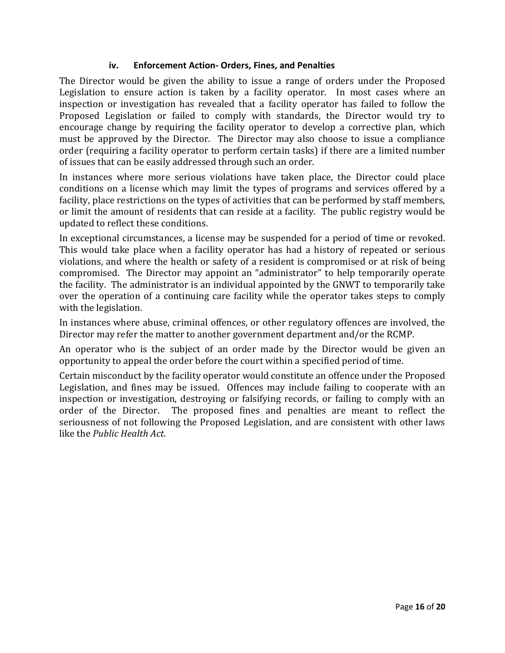#### **iv. Enforcement Action- Orders, Fines, and Penalties**

The Director would be given the ability to issue a range of orders under the Proposed Legislation to ensure action is taken by a facility operator. In most cases where an inspection or investigation has revealed that a facility operator has failed to follow the Proposed Legislation or failed to comply with standards, the Director would try to encourage change by requiring the facility operator to develop a corrective plan, which must be approved by the Director. The Director may also choose to issue a compliance order (requiring a facility operator to perform certain tasks) if there are a limited number of issues that can be easily addressed through such an order.

In instances where more serious violations have taken place, the Director could place conditions on a license which may limit the types of programs and services offered by a facility, place restrictions on the types of activities that can be performed by staff members, or limit the amount of residents that can reside at a facility. The public registry would be updated to reflect these conditions.

In exceptional circumstances, a license may be suspended for a period of time or revoked. This would take place when a facility operator has had a history of repeated or serious violations, and where the health or safety of a resident is compromised or at risk of being compromised. The Director may appoint an "administrator" to help temporarily operate the facility. The administrator is an individual appointed by the GNWT to temporarily take over the operation of a continuing care facility while the operator takes steps to comply with the legislation.

In instances where abuse, criminal offences, or other regulatory offences are involved, the Director may refer the matter to another government department and/or the RCMP.

An operator who is the subject of an order made by the Director would be given an opportunity to appeal the order before the court within a specified period of time.

Certain misconduct by the facility operator would constitute an offence under the Proposed Legislation, and fines may be issued. Offences may include failing to cooperate with an inspection or investigation, destroying or falsifying records, or failing to comply with an order of the Director. The proposed fines and penalties are meant to reflect the seriousness of not following the Proposed Legislation, and are consistent with other laws like the *Public Health Act*.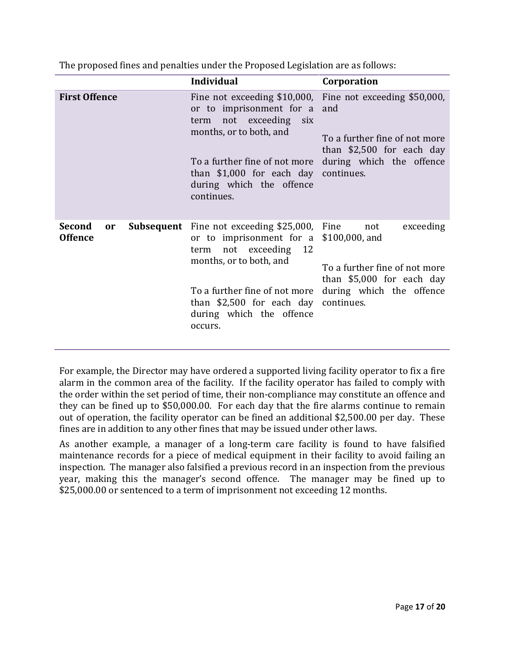|                                           | <b>Individual</b>                                                                                                                                                                                                                                                                              | Corporation                                                                                                              |
|-------------------------------------------|------------------------------------------------------------------------------------------------------------------------------------------------------------------------------------------------------------------------------------------------------------------------------------------------|--------------------------------------------------------------------------------------------------------------------------|
| <b>First Offence</b>                      | or to imprisonment for a and<br>term not exceeding six<br>months, or to both, and<br>To a further fine of not more during which the offence<br>than \$1,000 for each day continues.<br>during which the offence<br>continues.                                                                  | Fine not exceeding \$10,000, Fine not exceeding \$50,000,<br>To a further fine of not more<br>than $$2,500$ for each day |
| Second<br><sub>or</sub><br><b>Offence</b> | <b>Subsequent</b> Fine not exceeding \$25,000, Fine<br>or to imprisonment for a \$100,000, and<br>not exceeding 12<br>term<br>months, or to both, and<br>To a further fine of not more during which the offence<br>than \$2,500 for each day continues.<br>during which the offence<br>occurs. | exceeding<br>not<br>To a further fine of not more<br>than \$5,000 for each day                                           |

The proposed fines and penalties under the Proposed Legislation are as follows:

For example, the Director may have ordered a supported living facility operator to fix a fire alarm in the common area of the facility. If the facility operator has failed to comply with the order within the set period of time, their non-compliance may constitute an offence and they can be fined up to \$50,000.00. For each day that the fire alarms continue to remain out of operation, the facility operator can be fined an additional \$2,500.00 per day. These fines are in addition to any other fines that may be issued under other laws.

As another example, a manager of a long-term care facility is found to have falsified maintenance records for a piece of medical equipment in their facility to avoid failing an inspection. The manager also falsified a previous record in an inspection from the previous year, making this the manager's second offence. The manager may be fined up to \$25,000.00 or sentenced to a term of imprisonment not exceeding 12 months.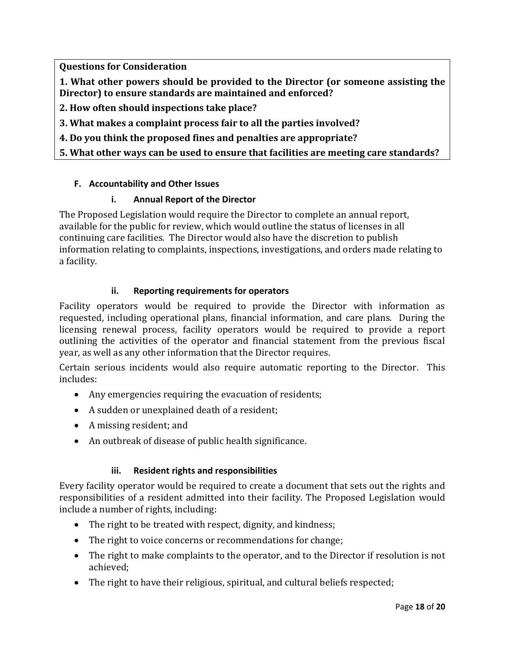**Questions for Consideration**

**1. What other powers should be provided to the Director (or someone assisting the Director) to ensure standards are maintained and enforced?**

- **2. How often should inspections take place?**
- **3. What makes a complaint process fair to all the parties involved?**
- **4. Do you think the proposed fines and penalties are appropriate?**
- **5. What other ways can be used to ensure that facilities are meeting care standards?**

#### <span id="page-17-0"></span>**F. Accountability and Other Issues**

#### **i. Annual Report of the Director**

<span id="page-17-1"></span>The Proposed Legislation would require the Director to complete an annual report, available for the public for review, which would outline the status of licenses in all continuing care facilities. The Director would also have the discretion to publish information relating to complaints, inspections, investigations, and orders made relating to a facility.

#### **ii. Reporting requirements for operators**

<span id="page-17-2"></span>Facility operators would be required to provide the Director with information as requested, including operational plans, financial information, and care plans. During the licensing renewal process, facility operators would be required to provide a report outlining the activities of the operator and financial statement from the previous fiscal year, as well as any other information that the Director requires.

Certain serious incidents would also require automatic reporting to the Director. This includes:

- Any emergencies requiring the evacuation of residents;
- A sudden or unexplained death of a resident;
- A missing resident; and
- An outbreak of disease of public health significance.

#### **iii. Resident rights and responsibilities**

<span id="page-17-3"></span>Every facility operator would be required to create a document that sets out the rights and responsibilities of a resident admitted into their facility. The Proposed Legislation would include a number of rights, including:

- The right to be treated with respect, dignity, and kindness;
- The right to voice concerns or recommendations for change;
- The right to make complaints to the operator, and to the Director if resolution is not achieved;
- The right to have their religious, spiritual, and cultural beliefs respected;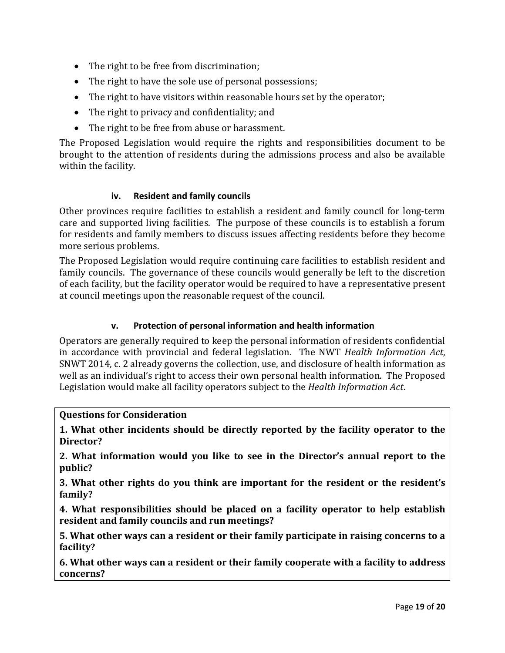- The right to be free from discrimination;
- The right to have the sole use of personal possessions;
- The right to have visitors within reasonable hours set by the operator;
- The right to privacy and confidentiality; and
- The right to be free from abuse or harassment.

The Proposed Legislation would require the rights and responsibilities document to be brought to the attention of residents during the admissions process and also be available within the facility.

#### **iv. Resident and family councils**

<span id="page-18-0"></span>Other provinces require facilities to establish a resident and family council for long-term care and supported living facilities. The purpose of these councils is to establish a forum for residents and family members to discuss issues affecting residents before they become more serious problems.

The Proposed Legislation would require continuing care facilities to establish resident and family councils. The governance of these councils would generally be left to the discretion of each facility, but the facility operator would be required to have a representative present at council meetings upon the reasonable request of the council.

### **v. Protection of personal information and health information**

<span id="page-18-1"></span>Operators are generally required to keep the personal information of residents confidential in accordance with provincial and federal legislation. The NWT *Health Information Act*, SNWT 2014, c. 2 already governs the collection, use, and disclosure of health information as well as an individual's right to access their own personal health information. The Proposed Legislation would make all facility operators subject to the *Health Information Act*.

#### **Questions for Consideration**

**1. What other incidents should be directly reported by the facility operator to the Director?**

**2. What information would you like to see in the Director's annual report to the public?**

**3. What other rights do you think are important for the resident or the resident's family?**

**4. What responsibilities should be placed on a facility operator to help establish resident and family councils and run meetings?**

**5. What other ways can a resident or their family participate in raising concerns to a facility?**

**6. What other ways can a resident or their family cooperate with a facility to address concerns?**